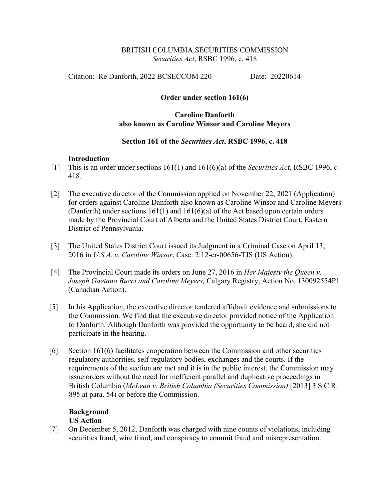## BRITISH COLUMBIA SECURITIES COMMISSION *Securities Act*, RSBC 1996, c. 418

Citation: Re Danforth, 2022 BCSECCOM 220 Date: 20220614

# **Order under section 161(6)**

# **Caroline Danforth also known as Caroline Winsor and Caroline Meyers**

## **Section 161 of the** *Securities Act***, RSBC 1996, c. 418**

## **Introduction**

- [1] This is an order under sections 161(1) and 161(6)(a) of the *Securities Act*, RSBC 1996, c. 418.
- [2] The executive director of the Commission applied on November 22, 2021 (Application) for orders against Caroline Danforth also known as Caroline Winsor and Caroline Meyers (Danforth) under sections 161(1) and 161(6)(a) of the Act based upon certain orders made by the Provincial Court of Alberta and the United States District Court, Eastern District of Pennsylvania.
- [3] The United States District Court issued its Judgment in a Criminal Case on April 13, 2016 in *U.S.A. v. Caroline Winsor*, Case: 2:12-cr-00656-TJS (US Action).
- [4] The Provincial Court made its orders on June 27, 2016 in *Her Majesty the Queen v. Joseph Gaetano Bucci and Caroline Meyers,* Calgary Registry, Action No. 130092554P1 (Canadian Action).
- [5] In his Application, the executive director tendered affidavit evidence and submissions to the Commission. We find that the executive director provided notice of the Application to Danforth. Although Danforth was provided the opportunity to be heard, she did not participate in the hearing.
- [6] Section 161(6) facilitates cooperation between the Commission and other securities regulatory authorities, self-regulatory bodies, exchanges and the courts. If the requirements of the section are met and it is in the public interest, the Commission may issue orders without the need for inefficient parallel and duplicative proceedings in British Columbia (*McLean v. British Columbia (Securities Commission)* [2013] 3 S.C.R. 895 at para. 54) or before the Commission.

#### **Background US Action**

[7] On December 5, 2012, Danforth was charged with nine counts of violations, including securities fraud, wire fraud, and conspiracy to commit fraud and misrepresentation.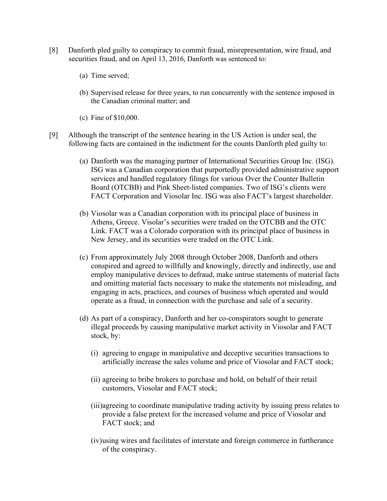- [8] Danforth pled guilty to conspiracy to commit fraud, misrepresentation, wire fraud, and securities fraud, and on April 13, 2016, Danforth was sentenced to:
	- (a) Time served;
	- (b) Supervised release for three years, to run concurrently with the sentence imposed in the Canadian criminal matter; and
	- (c) Fine of \$10,000.
- [9] Although the transcript of the sentence hearing in the US Action is under seal, the following facts are contained in the indictment for the counts Danforth pled guilty to:
	- (a) Danforth was the managing partner of International Securities Group Inc. (ISG). ISG was a Canadian corporation that purportedly provided administrative support services and handled regulatory filings for various Over the Counter Bulletin Board (OTCBB) and Pink Sheet-listed companies. Two of ISG's clients were FACT Corporation and Viosolar Inc. ISG was also FACT's largest shareholder.
	- (b) Viosolar was a Canadian corporation with its principal place of business in Athens, Greece. Visolar's securities were traded on the OTCBB and the OTC Link. FACT was a Colorado corporation with its principal place of business in New Jersey, and its securities were traded on the OTC Link.
	- (c) From approximately July 2008 through October 2008, Danforth and others conspired and agreed to willfully and knowingly, directly and indirectly, use and employ manipulative devices to defraud, make untrue statements of material facts and omitting material facts necessary to make the statements not misleading, and engaging in acts, practices, and courses of business which operated and would operate as a fraud, in connection with the purchase and sale of a security.
	- (d) As part of a conspiracy, Danforth and her co-conspirators sought to generate illegal proceeds by causing manipulative market activity in Viosolar and FACT stock, by:
		- (i) agreeing to engage in manipulative and deceptive securities transactions to artificially increase the sales volume and price of Viosolar and FACT stock;
		- (ii) agreeing to bribe brokers to purchase and hold, on behalf of their retail customers, Viosolar and FACT stock;
		- (iii)agreeing to coordinate manipulative trading activity by issuing press relates to provide a false pretext for the increased volume and price of Viosolar and FACT stock; and
		- (iv)using wires and facilitates of interstate and foreign commerce in furtherance of the conspiracy.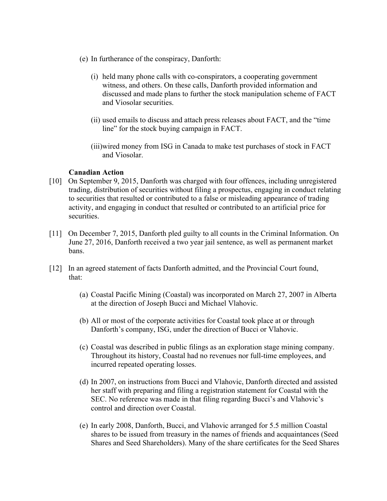- (e) In furtherance of the conspiracy, Danforth:
	- (i) held many phone calls with co-conspirators, a cooperating government witness, and others. On these calls, Danforth provided information and discussed and made plans to further the stock manipulation scheme of FACT and Viosolar securities.
	- (ii) used emails to discuss and attach press releases about FACT, and the "time line" for the stock buying campaign in FACT.
	- (iii)wired money from ISG in Canada to make test purchases of stock in FACT and Viosolar.

## **Canadian Action**

- [10] On September 9, 2015, Danforth was charged with four offences, including unregistered trading, distribution of securities without filing a prospectus, engaging in conduct relating to securities that resulted or contributed to a false or misleading appearance of trading activity, and engaging in conduct that resulted or contributed to an artificial price for securities.
- [11] On December 7, 2015, Danforth pled guilty to all counts in the Criminal Information. On June 27, 2016, Danforth received a two year jail sentence, as well as permanent market bans.
- [12] In an agreed statement of facts Danforth admitted, and the Provincial Court found, that:
	- (a) Coastal Pacific Mining (Coastal) was incorporated on March 27, 2007 in Alberta at the direction of Joseph Bucci and Michael Vlahovic.
	- (b) All or most of the corporate activities for Coastal took place at or through Danforth's company, ISG, under the direction of Bucci or Vlahovic.
	- (c) Coastal was described in public filings as an exploration stage mining company. Throughout its history, Coastal had no revenues nor full-time employees, and incurred repeated operating losses.
	- (d) In 2007, on instructions from Bucci and Vlahovic, Danforth directed and assisted her staff with preparing and filing a registration statement for Coastal with the SEC. No reference was made in that filing regarding Bucci's and Vlahovic's control and direction over Coastal.
	- (e) In early 2008, Danforth, Bucci, and Vlahovic arranged for 5.5 million Coastal shares to be issued from treasury in the names of friends and acquaintances (Seed Shares and Seed Shareholders). Many of the share certificates for the Seed Shares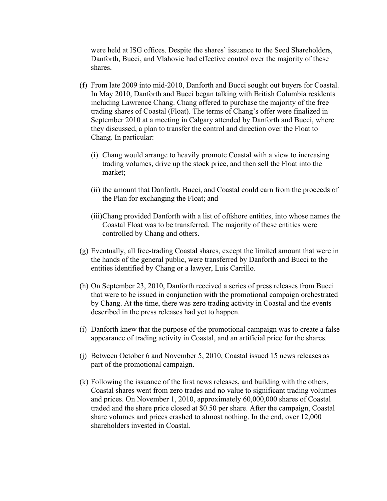were held at ISG offices. Despite the shares' issuance to the Seed Shareholders, Danforth, Bucci, and Vlahovic had effective control over the majority of these shares.

- (f) From late 2009 into mid-2010, Danforth and Bucci sought out buyers for Coastal. In May 2010, Danforth and Bucci began talking with British Columbia residents including Lawrence Chang. Chang offered to purchase the majority of the free trading shares of Coastal (Float). The terms of Chang's offer were finalized in September 2010 at a meeting in Calgary attended by Danforth and Bucci, where they discussed, a plan to transfer the control and direction over the Float to Chang. In particular:
	- (i) Chang would arrange to heavily promote Coastal with a view to increasing trading volumes, drive up the stock price, and then sell the Float into the market;
	- (ii) the amount that Danforth, Bucci, and Coastal could earn from the proceeds of the Plan for exchanging the Float; and
	- (iii)Chang provided Danforth with a list of offshore entities, into whose names the Coastal Float was to be transferred. The majority of these entities were controlled by Chang and others.
- (g) Eventually, all free-trading Coastal shares, except the limited amount that were in the hands of the general public, were transferred by Danforth and Bucci to the entities identified by Chang or a lawyer, Luis Carrillo.
- (h) On September 23, 2010, Danforth received a series of press releases from Bucci that were to be issued in conjunction with the promotional campaign orchestrated by Chang. At the time, there was zero trading activity in Coastal and the events described in the press releases had yet to happen.
- (i) Danforth knew that the purpose of the promotional campaign was to create a false appearance of trading activity in Coastal, and an artificial price for the shares.
- (j) Between October 6 and November 5, 2010, Coastal issued 15 news releases as part of the promotional campaign.
- (k) Following the issuance of the first news releases, and building with the others, Coastal shares went from zero trades and no value to significant trading volumes and prices. On November 1, 2010, approximately 60,000,000 shares of Coastal traded and the share price closed at \$0.50 per share. After the campaign, Coastal share volumes and prices crashed to almost nothing. In the end, over 12,000 shareholders invested in Coastal.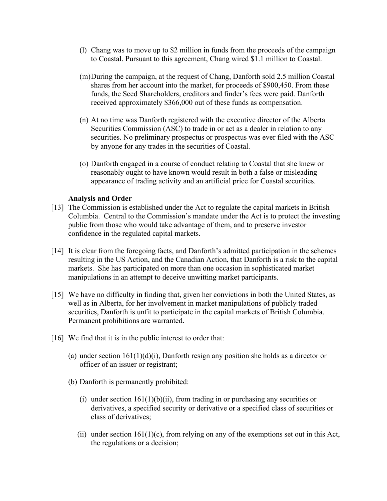- (l) Chang was to move up to \$2 million in funds from the proceeds of the campaign to Coastal. Pursuant to this agreement, Chang wired \$1.1 million to Coastal.
- (m)During the campaign, at the request of Chang, Danforth sold 2.5 million Coastal shares from her account into the market, for proceeds of \$900,450. From these funds, the Seed Shareholders, creditors and finder's fees were paid. Danforth received approximately \$366,000 out of these funds as compensation.
- (n) At no time was Danforth registered with the executive director of the Alberta Securities Commission (ASC) to trade in or act as a dealer in relation to any securities. No preliminary prospectus or prospectus was ever filed with the ASC by anyone for any trades in the securities of Coastal.
- (o) Danforth engaged in a course of conduct relating to Coastal that she knew or reasonably ought to have known would result in both a false or misleading appearance of trading activity and an artificial price for Coastal securities.

## **Analysis and Order**

- [13] The Commission is established under the Act to regulate the capital markets in British Columbia. Central to the Commission's mandate under the Act is to protect the investing public from those who would take advantage of them, and to preserve investor confidence in the regulated capital markets.
- [14] It is clear from the foregoing facts, and Danforth's admitted participation in the schemes resulting in the US Action, and the Canadian Action, that Danforth is a risk to the capital markets. She has participated on more than one occasion in sophisticated market manipulations in an attempt to deceive unwitting market participants.
- [15] We have no difficulty in finding that, given her convictions in both the United States, as well as in Alberta, for her involvement in market manipulations of publicly traded securities, Danforth is unfit to participate in the capital markets of British Columbia. Permanent prohibitions are warranted.
- [16] We find that it is in the public interest to order that:
	- (a) under section  $161(1)(d)(i)$ , Danforth resign any position she holds as a director or officer of an issuer or registrant;
	- (b) Danforth is permanently prohibited:
		- (i) under section  $161(1)(b)(ii)$ , from trading in or purchasing any securities or derivatives, a specified security or derivative or a specified class of securities or class of derivatives;
		- (ii) under section  $161(1)(c)$ , from relying on any of the exemptions set out in this Act, the regulations or a decision;